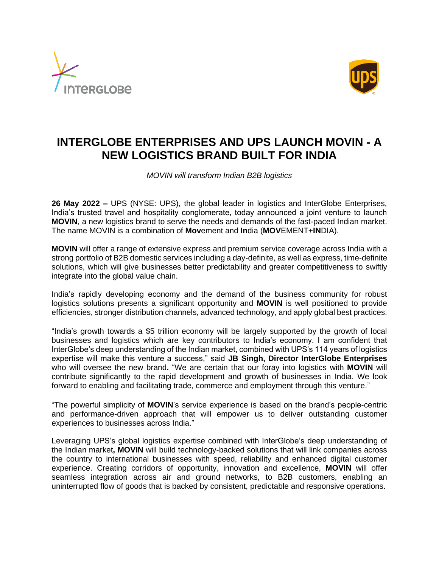



## **INTERGLOBE ENTERPRISES AND UPS LAUNCH MOVIN - A NEW LOGISTICS BRAND BUILT FOR INDIA**

*MOVIN will transform Indian B2B logistics* 

**26 May 2022 –** UPS (NYSE: UPS), the global leader in logistics and InterGlobe Enterprises, India's trusted travel and hospitality conglomerate, today announced a joint venture to launch **MOVIN**, a new logistics brand to serve the needs and demands of the fast-paced Indian market. The name MOVIN is a combination of **Mov**ement and **In**dia (**MOV**EMENT+**IN**DIA).

**MOVIN** will offer a range of extensive express and premium service coverage across India with a strong portfolio of B2B domestic services including a day-definite, as well as express, time-definite solutions, which will give businesses better predictability and greater competitiveness to swiftly integrate into the global value chain.

India's rapidly developing economy and the demand of the business community for robust logistics solutions presents a significant opportunity and **MOVIN** is well positioned to provide efficiencies, stronger distribution channels, advanced technology, and apply global best practices.

"India's growth towards a \$5 trillion economy will be largely supported by the growth of local businesses and logistics which are key contributors to India's economy. I am confident that InterGlobe's deep understanding of the Indian market, combined with UPS's 114 years of logistics expertise will make this venture a success," said **JB Singh, Director InterGlobe Enterprises** who will oversee the new brand**.** "We are certain that our foray into logistics with **MOVIN** will contribute significantly to the rapid development and growth of businesses in India. We look forward to enabling and facilitating trade, commerce and employment through this venture."

"The powerful simplicity of **MOVIN**'s service experience is based on the brand's people-centric and performance-driven approach that will empower us to deliver outstanding customer experiences to businesses across India."

Leveraging UPS's global logistics expertise combined with InterGlobe's deep understanding of the Indian market**, MOVIN** will build technology-backed solutions that will link companies across the country to international businesses with speed, reliability and enhanced digital customer experience. Creating corridors of opportunity, innovation and excellence, **MOVIN** will offer seamless integration across air and ground networks, to B2B customers, enabling an uninterrupted flow of goods that is backed by consistent, predictable and responsive operations.